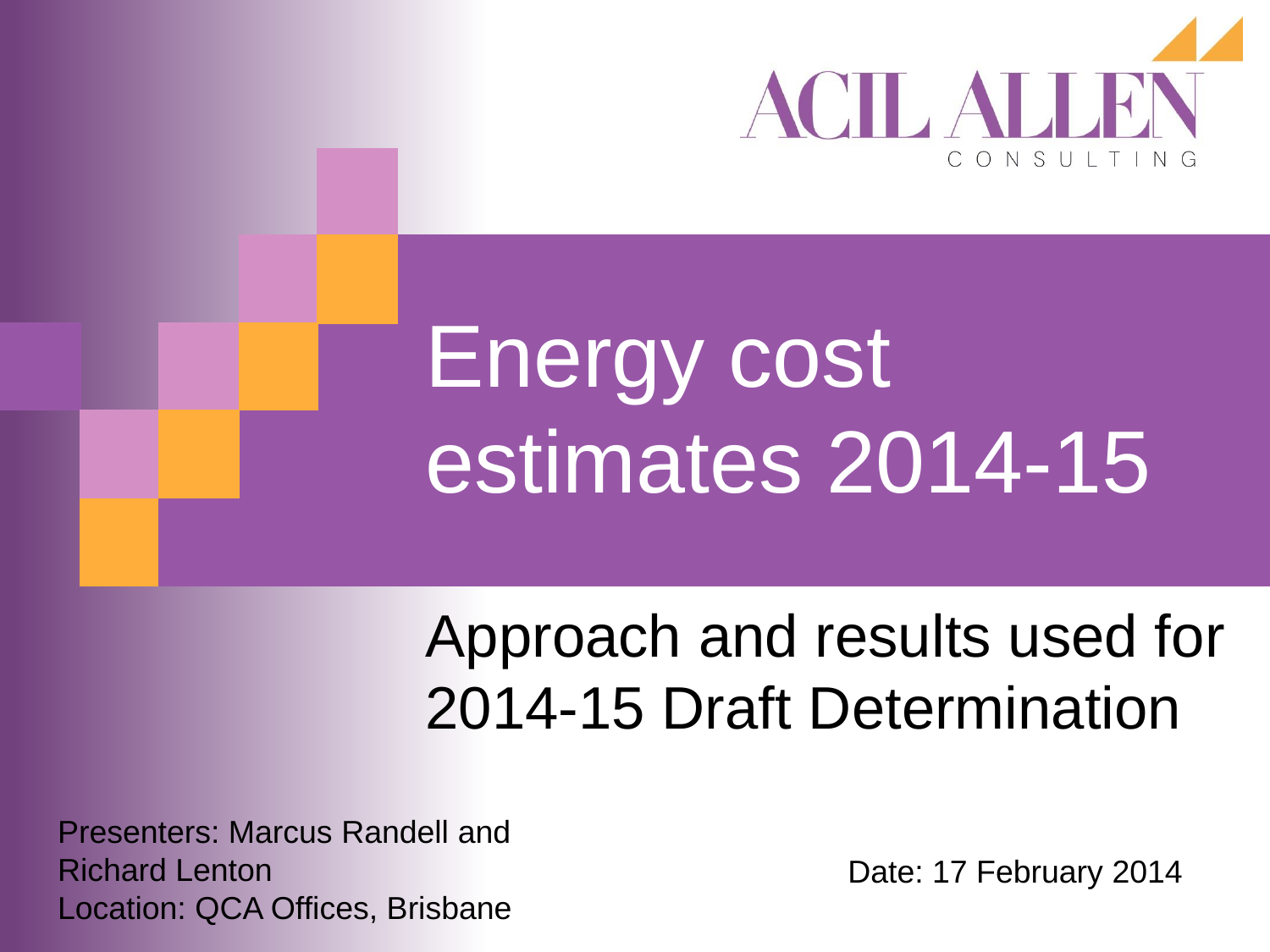

# Energy cost estimates 2014-15

### Approach and results used for 2014-15 Draft Determination

Presenters: Marcus Randell and Richard Lenton Location: QCA Offices, Brisbane

Date: 17 February 2014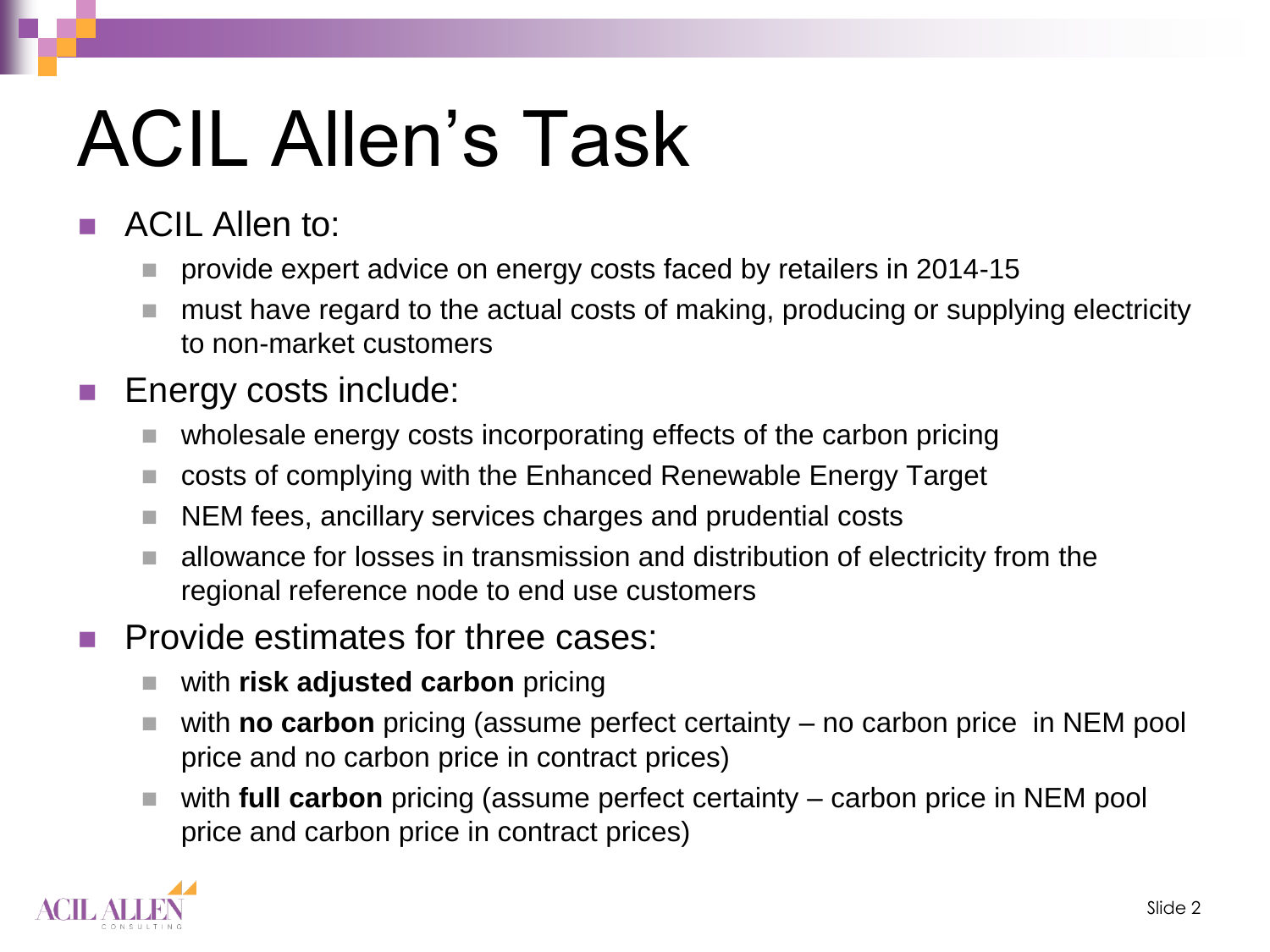# ACIL Allen's Task

- ACIL Allen to:
	- provide expert advice on energy costs faced by retailers in 2014-15
	- must have regard to the actual costs of making, producing or supplying electricity to non-market customers
- **Energy costs include:** 
	- wholesale energy costs incorporating effects of the carbon pricing
	- costs of complying with the Enhanced Renewable Energy Target
	- NEM fees, ancillary services charges and prudential costs
	- allowance for losses in transmission and distribution of electricity from the regional reference node to end use customers
- Provide estimates for three cases:
	- with **risk adjusted carbon** pricing
	- with **no carbon** pricing (assume perfect certainty no carbon price in NEM pool price and no carbon price in contract prices)
	- with **full carbon** pricing (assume perfect certainty carbon price in NEM pool price and carbon price in contract prices)

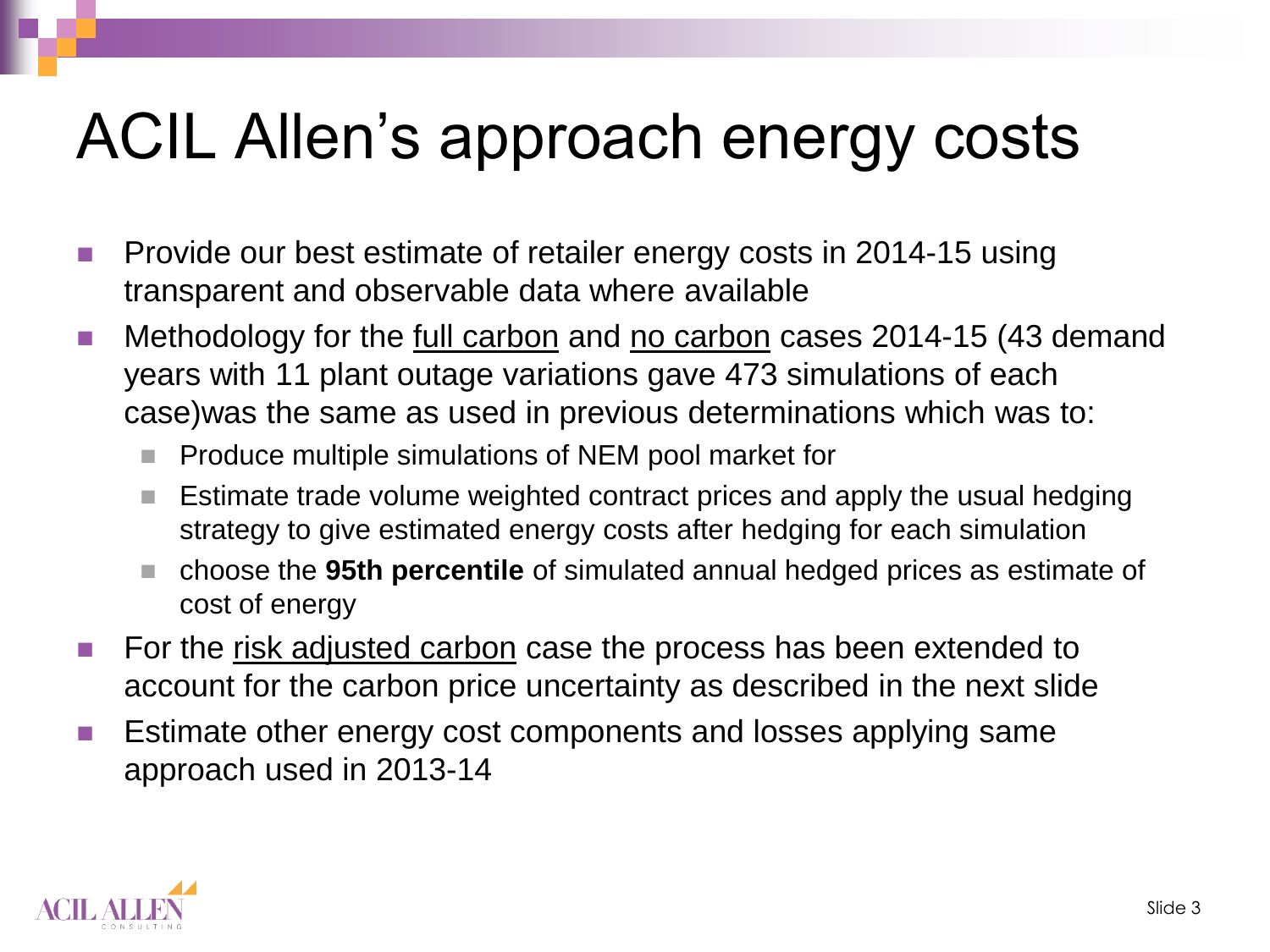## ACIL Allen's approach energy costs

- **Provide our best estimate of retailer energy costs in 2014-15 using** transparent and observable data where available
- Methodology for the full carbon and no carbon cases 2014-15 (43 demand years with 11 plant outage variations gave 473 simulations of each case)was the same as used in previous determinations which was to:
	- $\blacksquare$  Produce multiple simulations of NEM pool market for
	- $\blacksquare$  Estimate trade volume weighted contract prices and apply the usual hedging strategy to give estimated energy costs after hedging for each simulation
	- choose the **95th percentile** of simulated annual hedged prices as estimate of cost of energy
- For the risk adjusted carbon case the process has been extended to account for the carbon price uncertainty as described in the next slide
- **E** Estimate other energy cost components and losses applying same approach used in 2013-14

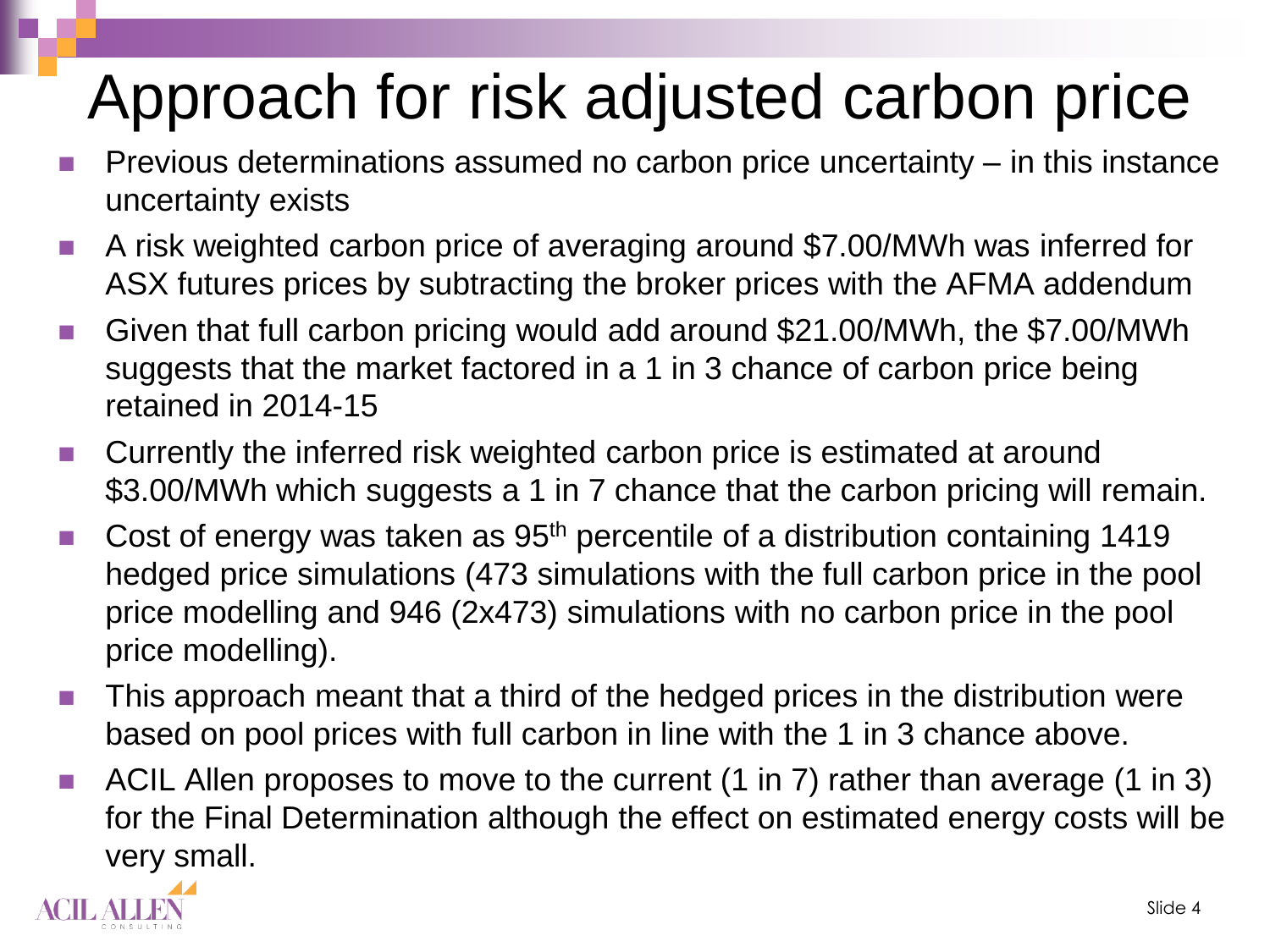## Approach for risk adjusted carbon price

- Previous determinations assumed no carbon price uncertainty in this instance uncertainty exists
- A risk weighted carbon price of averaging around \$7.00/MWh was inferred for ASX futures prices by subtracting the broker prices with the AFMA addendum
- Given that full carbon pricing would add around \$21.00/MWh, the \$7.00/MWh suggests that the market factored in a 1 in 3 chance of carbon price being retained in 2014-15
- Currently the inferred risk weighted carbon price is estimated at around \$3.00/MWh which suggests a 1 in 7 chance that the carbon pricing will remain.
- Cost of energy was taken as  $95<sup>th</sup>$  percentile of a distribution containing 1419 hedged price simulations (473 simulations with the full carbon price in the pool price modelling and 946 (2x473) simulations with no carbon price in the pool price modelling).
- **This approach meant that a third of the hedged prices in the distribution were** based on pool prices with full carbon in line with the 1 in 3 chance above.
- ACIL Allen proposes to move to the current (1 in 7) rather than average (1 in 3) for the Final Determination although the effect on estimated energy costs will be very small.

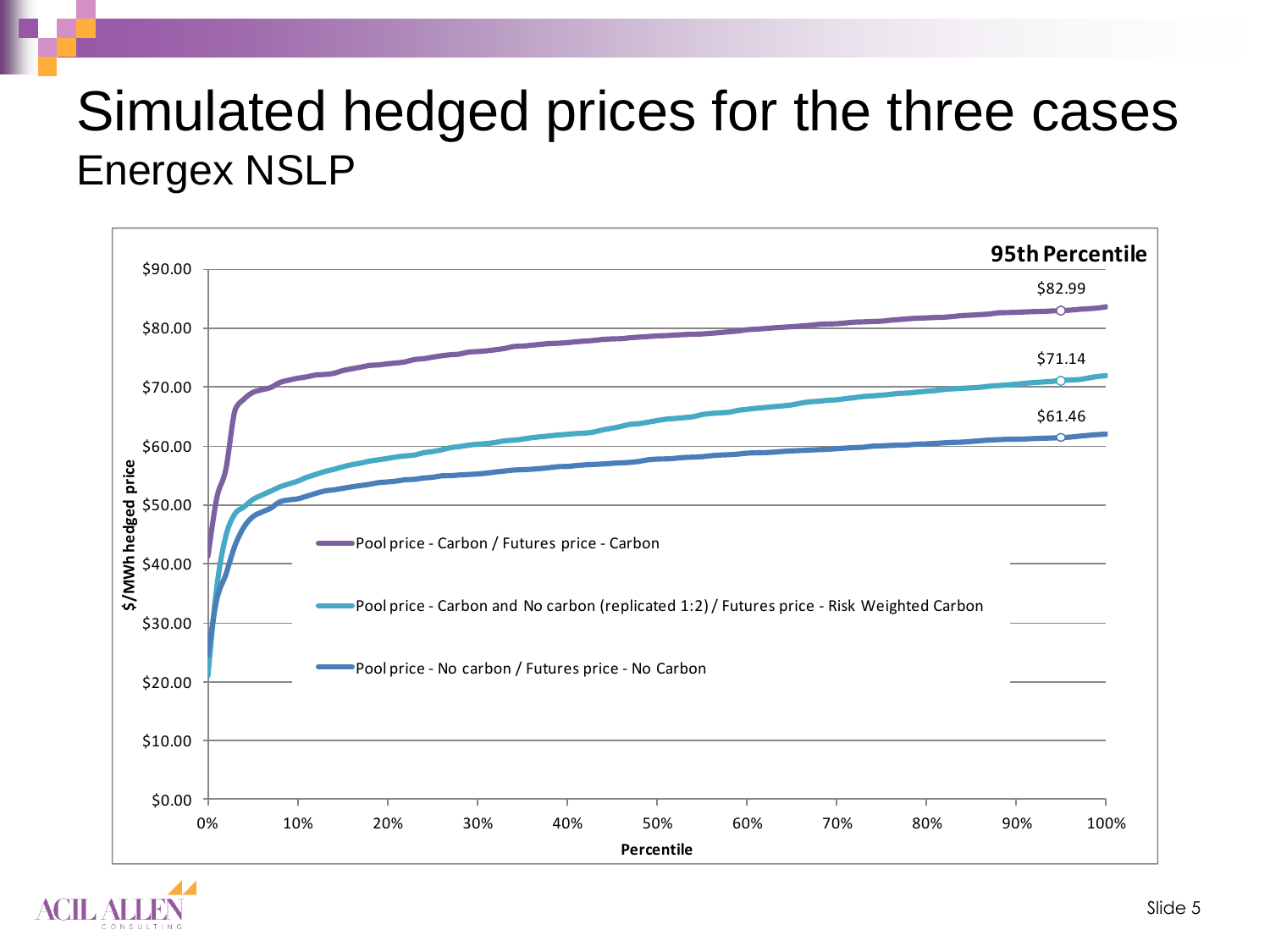#### Simulated hedged prices for the three cases Energex NSLP



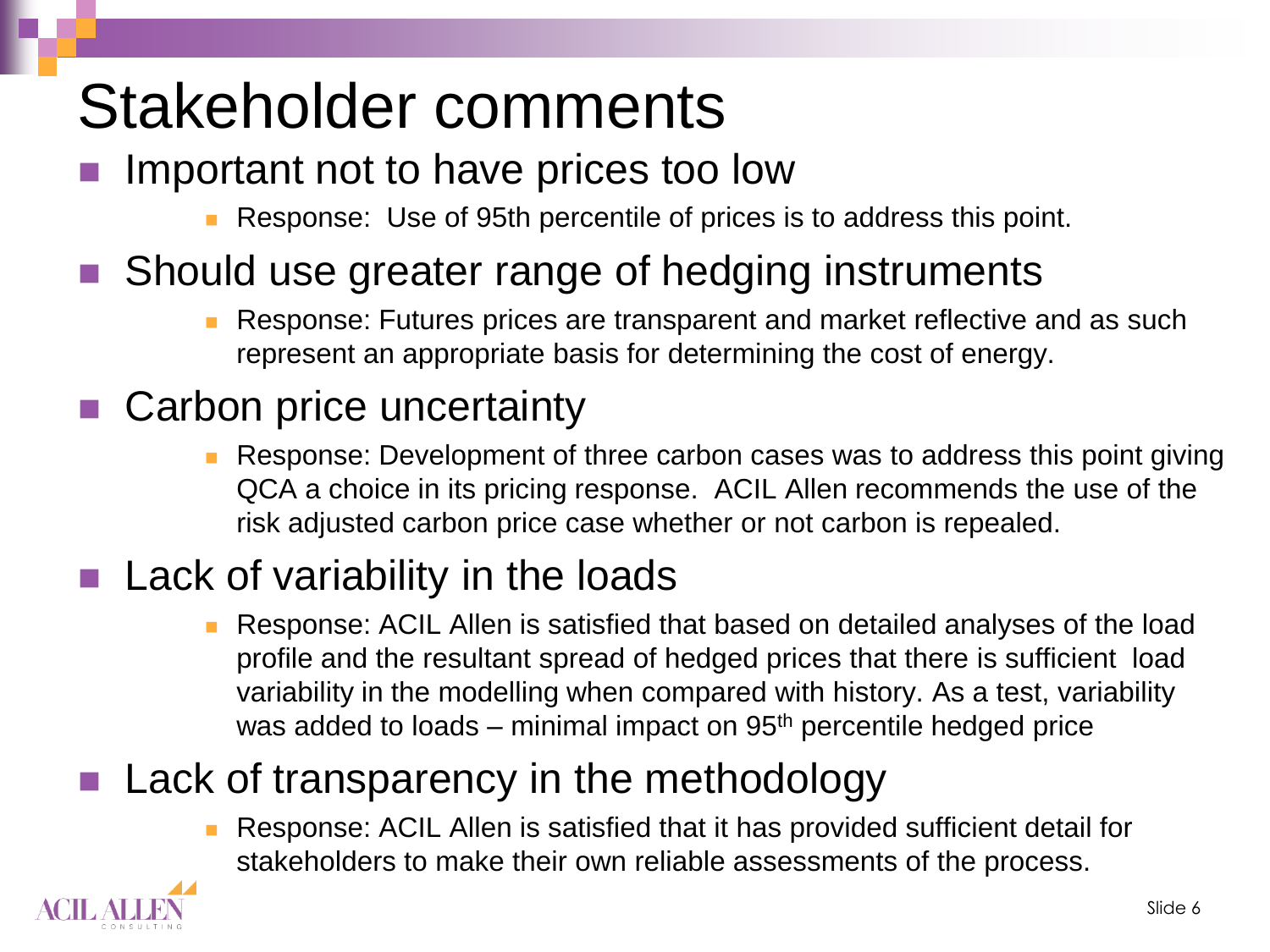## Stakeholder comments

#### Important not to have prices too low

Response: Use of 95th percentile of prices is to address this point.

#### Should use greater range of hedging instruments

 Response: Futures prices are transparent and market reflective and as such represent an appropriate basis for determining the cost of energy.

#### Carbon price uncertainty

**Response: Development of three carbon cases was to address this point giving** QCA a choice in its pricing response. ACIL Allen recommends the use of the risk adjusted carbon price case whether or not carbon is repealed.

#### Lack of variability in the loads

 Response: ACIL Allen is satisfied that based on detailed analyses of the load profile and the resultant spread of hedged prices that there is sufficient load variability in the modelling when compared with history. As a test, variability was added to loads – minimal impact on 95<sup>th</sup> percentile hedged price

#### Lack of transparency in the methodology

 Response: ACIL Allen is satisfied that it has provided sufficient detail for stakeholders to make their own reliable assessments of the process.

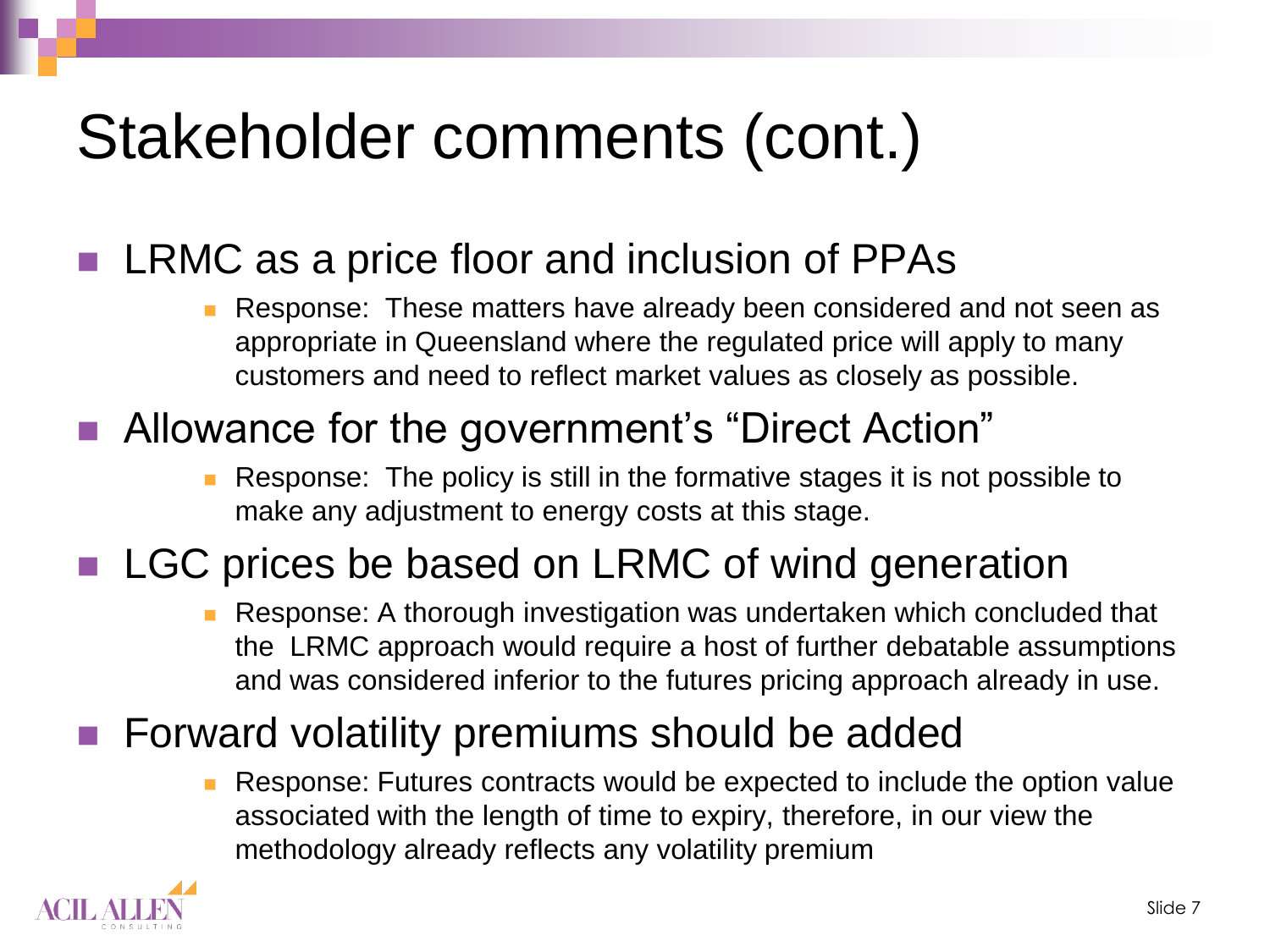### Stakeholder comments (cont.)

#### LRMC as a price floor and inclusion of PPAs

 Response: These matters have already been considered and not seen as appropriate in Queensland where the regulated price will apply to many customers and need to reflect market values as closely as possible.

#### ■ Allowance for the government's "Direct Action"

 Response: The policy is still in the formative stages it is not possible to make any adjustment to energy costs at this stage.

#### LGC prices be based on LRMC of wind generation

 Response: A thorough investigation was undertaken which concluded that the LRMC approach would require a host of further debatable assumptions and was considered inferior to the futures pricing approach already in use.

#### Forward volatility premiums should be added

 Response: Futures contracts would be expected to include the option value associated with the length of time to expiry, therefore, in our view the methodology already reflects any volatility premium

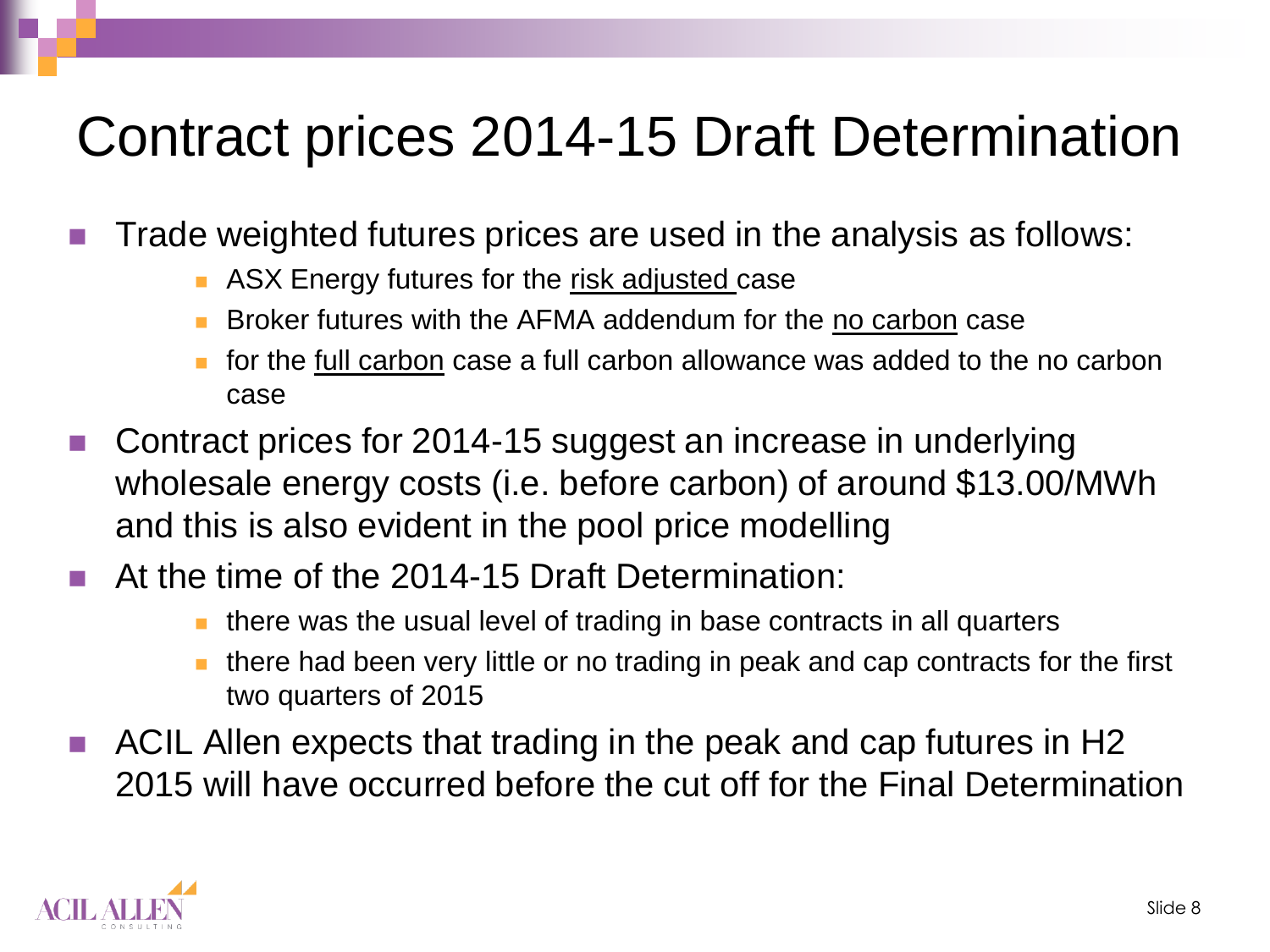### Contract prices 2014-15 Draft Determination

- Trade weighted futures prices are used in the analysis as follows:
	- **ASX Energy futures for the risk adjusted case**
	- Broker futures with the AFMA addendum for the no carbon case
	- **for the full carbon case a full carbon allowance was added to the no carbon** case
- Contract prices for 2014-15 suggest an increase in underlying wholesale energy costs (i.e. before carbon) of around \$13.00/MWh and this is also evident in the pool price modelling
- At the time of the 2014-15 Draft Determination:
	- $\blacksquare$  there was the usual level of trading in base contracts in all quarters
	- **there had been very little or no trading in peak and cap contracts for the first** two quarters of 2015
- ACIL Allen expects that trading in the peak and cap futures in H2 2015 will have occurred before the cut off for the Final Determination

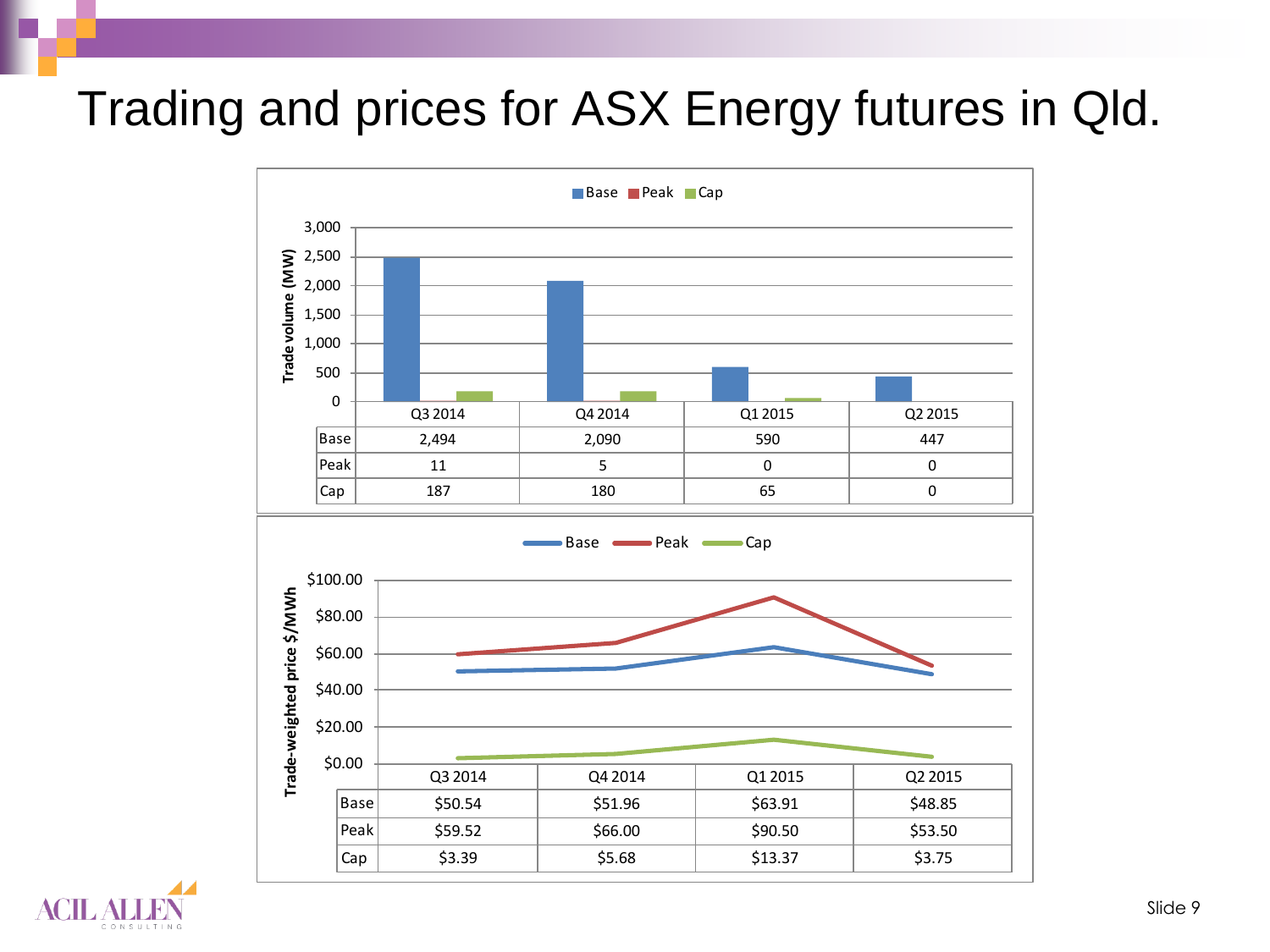#### Trading and prices for ASX Energy futures in Qld.